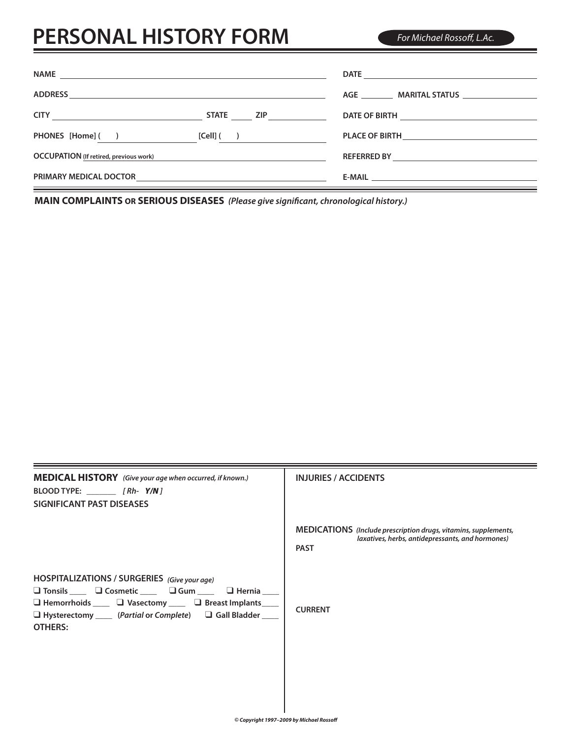## **PERSONAL HISTORY FORM**

*For Michael Rossoff, L.Ac.*

|                                                             | STATE ZIP    |                                                          |
|-------------------------------------------------------------|--------------|----------------------------------------------------------|
| PHONES [Home] ( )                                           | $[Cell]$ ( ) |                                                          |
| <b>OCCUPATION</b> (If retired, previous work)               |              | REFERRED BY <b>Andrew Property and American Property</b> |
| PRIMARY MEDICAL DOCTOR <b>And Construction Construction</b> |              |                                                          |

**MAIN COMPLAINTS OR SERIOUS DISEASES** *(Please give significant, chronological history.)*

| <b>MEDICAL HISTORY</b> (Give your age when occurred, if known.)<br>SIGNIFICANT PAST DISEASES                                                                                                                                                                                                               | <b>INJURIES / ACCIDENTS</b>                                                                                                        |
|------------------------------------------------------------------------------------------------------------------------------------------------------------------------------------------------------------------------------------------------------------------------------------------------------------|------------------------------------------------------------------------------------------------------------------------------------|
|                                                                                                                                                                                                                                                                                                            | MEDICATIONS (Include prescription drugs, vitamins, supplements,<br>laxatives, herbs, antidepressants, and hormones)<br><b>PAST</b> |
| HOSPITALIZATIONS / SURGERIES (Give your age)<br>$\Box$ Tonsils _____ $\Box$ Cosmetic _____ $\Box$ Gum _____ $\Box$ Hernia ____<br>$\Box$ Hemorrhoids ____ $\Box$ Vasectomy ____ $\Box$ Breast Implants ___<br>$\Box$ Hysterectomy ______ (Partial or Complete) $\Box$ Gall Bladder _____<br><b>OTHERS:</b> | <b>CURRENT</b>                                                                                                                     |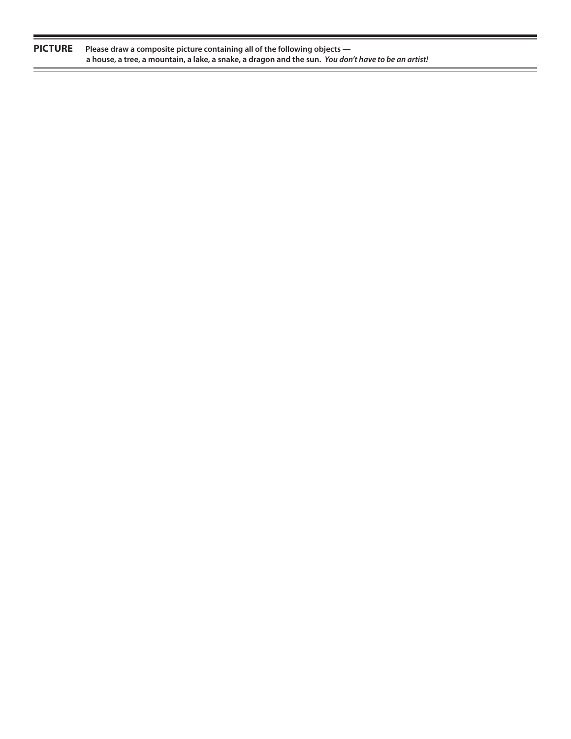| <b>PICTURE</b> | Please draw a composite picture containing all of the following objects $-$                         |  |
|----------------|-----------------------------------------------------------------------------------------------------|--|
|                | a house, a tree, a mountain, a lake, a snake, a dragon and the sun. You don't have to be an artist! |  |

 $=$